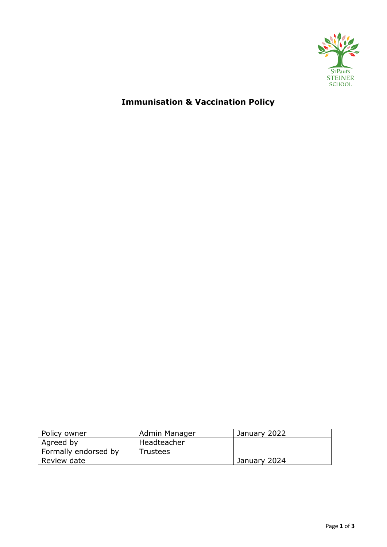

# **Immunisation & Vaccination Policy**

| Policy owner         | Admin Manager   | January 2022 |
|----------------------|-----------------|--------------|
| Agreed by            | Headteacher     |              |
| Formally endorsed by | <b>Trustees</b> |              |
| Review date          |                 | January 2024 |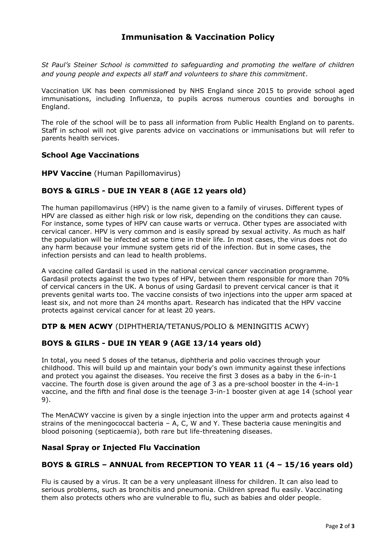# **Immunisation & Vaccination Policy**

*St Paul's Steiner School is committed to safeguarding and promoting the welfare of children and young people and expects all staff and volunteers to share this commitment*.

Vaccination UK has been commissioned by NHS England since 2015 to provide school aged immunisations, including Influenza, to pupils across numerous counties and boroughs in England.

The role of the school will be to pass all information from Public Health England on to parents. Staff in school will not give parents advice on vaccinations or immunisations but will refer to parents health services.

#### **School Age Vaccinations**

**HPV Vaccine** (Human Papillomavirus)

#### **BOYS & GIRLS - DUE IN YEAR 8 (AGE 12 years old)**

The human papillomavirus (HPV) is the name given to a family of viruses. Different types of HPV are classed as either high risk or low risk, depending on the conditions they can cause. For instance, some types of HPV can cause warts or verruca. Other types are associated with cervical cancer. HPV is very common and is easily spread by sexual activity. As much as half the population will be infected at some time in their life. In most cases, the virus does not do any harm because your immune system gets rid of the infection. But in some cases, the infection persists and can lead to health problems.

A vaccine called Gardasil is used in the national cervical cancer vaccination programme. Gardasil protects against the two types of HPV, between them responsible for more than 70% of cervical cancers in the UK. A bonus of using Gardasil to prevent cervical cancer is that it prevents genital warts too. The vaccine consists of two injections into the upper arm spaced at least six, and not more than 24 months apart. Research has indicated that the HPV vaccine protects against cervical cancer for at least 20 years.

**DTP & MEN ACWY** (DIPHTHERIA/TETANUS/POLIO & MENINGITIS ACWY)

#### **BOYS & GILRS - DUE IN YEAR 9 (AGE 13/14 years old)**

In total, you need 5 doses of the tetanus, diphtheria and polio vaccines through your childhood. This will build up and maintain your body's own immunity against these infections and protect you against the diseases. You receive the first 3 doses as a baby in the 6-in-1 vaccine. The fourth dose is given around the age of 3 as a pre-school booster in the 4-in-1 vaccine, and the fifth and final dose is the teenage 3-in-1 booster given at age 14 (school year 9).

The MenACWY vaccine is given by a single injection into the upper arm and protects against 4 strains of the meningococcal bacteria – A, C, W and Y. These bacteria cause meningitis and blood poisoning (septicaemia), both rare but life-threatening diseases.

#### **Nasal Spray or Injected Flu Vaccination**

#### **BOYS & GIRLS – ANNUAL from RECEPTION TO YEAR 11 (4 – 15/16 years old)**

Flu is caused by a virus. It can be a very unpleasant illness for children. It can also lead to serious problems, such as bronchitis and pneumonia. Children spread flu easily. Vaccinating them also protects others who are vulnerable to flu, such as babies and older people.